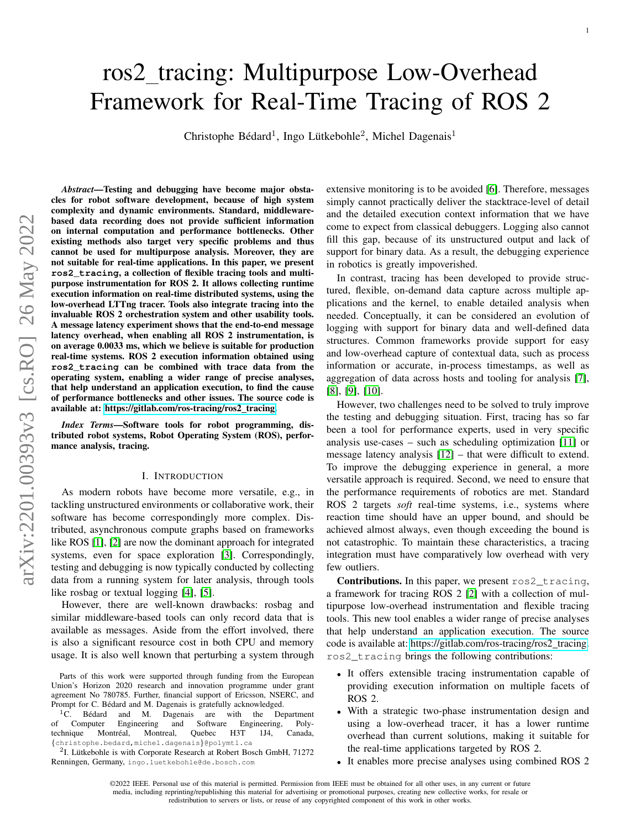# arXiv:2201.00393v3 [cs.RO] 26 May 2022 arXiv:2201.00393v3 [cs.RO] 26 May 2022

# ros2 tracing: Multipurpose Low-Overhead Framework for Real-Time Tracing of ROS 2

Christophe Bédard<sup>1</sup>, Ingo Lütkebohle<sup>2</sup>, Michel Dagenais<sup>1</sup>

*Abstract*—Testing and debugging have become major obstacles for robot software development, because of high system complexity and dynamic environments. Standard, middlewarebased data recording does not provide sufficient information on internal computation and performance bottlenecks. Other existing methods also target very specific problems and thus cannot be used for multipurpose analysis. Moreover, they are not suitable for real-time applications. In this paper, we present **ros2\_tracing**, a collection of flexible tracing tools and multipurpose instrumentation for ROS 2. It allows collecting runtime execution information on real-time distributed systems, using the low-overhead LTTng tracer. Tools also integrate tracing into the invaluable ROS 2 orchestration system and other usability tools. A message latency experiment shows that the end-to-end message latency overhead, when enabling all ROS 2 instrumentation, is on average 0.0033 ms, which we believe is suitable for production real-time systems. ROS 2 execution information obtained using **ros2\_tracing** can be combined with trace data from the operating system, enabling a wider range of precise analyses, that help understand an application execution, to find the cause of performance bottlenecks and other issues. The source code is available at: [https://gitlab.com/ros-tracing/ros2](https://gitlab.com/ros-tracing/ros2_tracing)\_tracing.

*Index Terms*—Software tools for robot programming, distributed robot systems, Robot Operating System (ROS), performance analysis, tracing.

### I. INTRODUCTION

As modern robots have become more versatile, e.g., in tackling unstructured environments or collaborative work, their software has become correspondingly more complex. Distributed, asynchronous compute graphs based on frameworks like ROS [\[1\]](#page-7-0), [\[2\]](#page-7-1) are now the dominant approach for integrated systems, even for space exploration [\[3\]](#page-7-2). Correspondingly, testing and debugging is now typically conducted by collecting data from a running system for later analysis, through tools like rosbag or textual logging [\[4\]](#page-7-3), [\[5\]](#page-7-4).

However, there are well-known drawbacks: rosbag and similar middleware-based tools can only record data that is available as messages. Aside from the effort involved, there is also a significant resource cost in both CPU and memory usage. It is also well known that perturbing a system through extensive monitoring is to be avoided [\[6\]](#page-7-5). Therefore, messages simply cannot practically deliver the stacktrace-level of detail and the detailed execution context information that we have come to expect from classical debuggers. Logging also cannot fill this gap, because of its unstructured output and lack of support for binary data. As a result, the debugging experience in robotics is greatly impoverished.

In contrast, tracing has been developed to provide structured, flexible, on-demand data capture across multiple applications and the kernel, to enable detailed analysis when needed. Conceptually, it can be considered an evolution of logging with support for binary data and well-defined data structures. Common frameworks provide support for easy and low-overhead capture of contextual data, such as process information or accurate, in-process timestamps, as well as aggregation of data across hosts and tooling for analysis [\[7\]](#page-7-6), [\[8\]](#page-7-7), [\[9\]](#page-7-8), [\[10\]](#page-7-9).

However, two challenges need to be solved to truly improve the testing and debugging situation. First, tracing has so far been a tool for performance experts, used in very specific analysis use-cases – such as scheduling optimization [\[11\]](#page-7-10) or message latency analysis [\[12\]](#page-7-11) – that were difficult to extend. To improve the debugging experience in general, a more versatile approach is required. Second, we need to ensure that the performance requirements of robotics are met. Standard ROS 2 targets *soft* real-time systems, i.e., systems where reaction time should have an upper bound, and should be achieved almost always, even though exceeding the bound is not catastrophic. To maintain these characteristics, a tracing integration must have comparatively low overhead with very few outliers.

Contributions. In this paper, we present ros2\_tracing, a framework for tracing ROS 2 [\[2\]](#page-7-1) with a collection of multipurpose low-overhead instrumentation and flexible tracing tools. This new tool enables a wider range of precise analyses that help understand an application execution. The source code is available at: [https://gitlab.com/ros-tracing/ros2](https://gitlab.com/ros-tracing/ros2_tracing) tracing. ros2\_tracing brings the following contributions:

- It offers extensible tracing instrumentation capable of providing execution information on multiple facets of ROS 2.
- With a strategic two-phase instrumentation design and using a low-overhead tracer, it has a lower runtime overhead than current solutions, making it suitable for the real-time applications targeted by ROS 2.
- It enables more precise analyses using combined ROS 2

Parts of this work were supported through funding from the European Union's Horizon 2020 research and innovation programme under grant agreement No 780785. Further, financial support of Ericsson, NSERC, and Prompt for C. Bédard and M. Dagenais is gratefully acknowledged.

 ${}^{1}$ C. Bédard and M. Dagenais are with the Department of Computer Engineering and Software Engineering, Polyof Computer Engineering and Software Engineering, Poly-<br>technique Montréal, Montreal, Quebec H3T 1J4, Canada, Montréal, Montreal, Quebec H3T 1J4, {christophe.bedard,michel.dagenais}@polymtl.ca

<sup>&</sup>lt;sup>2</sup>I. Lütkebohle is with Corporate Research at Robert Bosch GmbH, 71272 Renningen, Germany, ingo.luetkebohle@de.bosch.com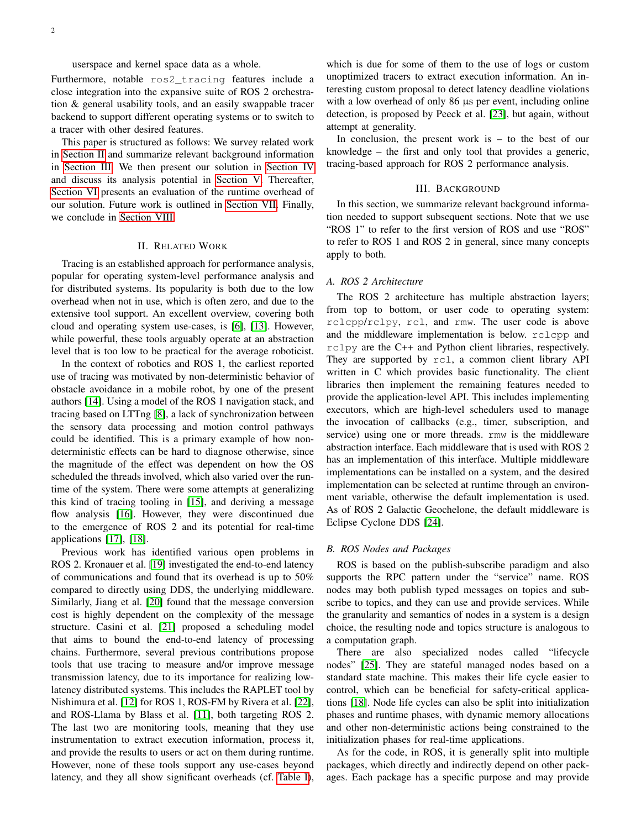userspace and kernel space data as a whole.

Furthermore, notable ros2\_tracing features include a close integration into the expansive suite of ROS 2 orchestration & general usability tools, and an easily swappable tracer backend to support different operating systems or to switch to a tracer with other desired features.

This paper is structured as follows: We survey related work in [Section II](#page-1-0) and summarize relevant background information in [Section III.](#page-1-1) We then present our solution in [Section IV](#page-2-0) and discuss its analysis potential in [Section V.](#page-4-0) Thereafter, [Section VI](#page-5-0) presents an evaluation of the runtime overhead of our solution. Future work is outlined in [Section VII.](#page-6-0) Finally, we conclude in [Section VIII.](#page-7-12)

### II. RELATED WORK

<span id="page-1-0"></span>Tracing is an established approach for performance analysis, popular for operating system-level performance analysis and for distributed systems. Its popularity is both due to the low overhead when not in use, which is often zero, and due to the extensive tool support. An excellent overview, covering both cloud and operating system use-cases, is [\[6\]](#page-7-5), [\[13\]](#page-7-13). However, while powerful, these tools arguably operate at an abstraction level that is too low to be practical for the average roboticist.

In the context of robotics and ROS 1, the earliest reported use of tracing was motivated by non-deterministic behavior of obstacle avoidance in a mobile robot, by one of the present authors [\[14\]](#page-7-14). Using a model of the ROS 1 navigation stack, and tracing based on LTTng [\[8\]](#page-7-7), a lack of synchronization between the sensory data processing and motion control pathways could be identified. This is a primary example of how nondeterministic effects can be hard to diagnose otherwise, since the magnitude of the effect was dependent on how the OS scheduled the threads involved, which also varied over the runtime of the system. There were some attempts at generalizing this kind of tracing tooling in [\[15\]](#page-7-15), and deriving a message flow analysis [\[16\]](#page-7-16). However, they were discontinued due to the emergence of ROS 2 and its potential for real-time applications [\[17\]](#page-7-17), [\[18\]](#page-7-18).

Previous work has identified various open problems in ROS 2. Kronauer et al. [\[19\]](#page-7-19) investigated the end-to-end latency of communications and found that its overhead is up to 50% compared to directly using DDS, the underlying middleware. Similarly, Jiang et al. [\[20\]](#page-7-20) found that the message conversion cost is highly dependent on the complexity of the message structure. Casini et al. [\[21\]](#page-7-21) proposed a scheduling model that aims to bound the end-to-end latency of processing chains. Furthermore, several previous contributions propose tools that use tracing to measure and/or improve message transmission latency, due to its importance for realizing lowlatency distributed systems. This includes the RAPLET tool by Nishimura et al. [\[12\]](#page-7-11) for ROS 1, ROS-FM by Rivera et al. [\[22\]](#page-7-22), and ROS-Llama by Blass et al. [\[11\]](#page-7-10), both targeting ROS 2. The last two are monitoring tools, meaning that they use instrumentation to extract execution information, process it, and provide the results to users or act on them during runtime. However, none of these tools support any use-cases beyond latency, and they all show significant overheads (cf. [Table I\)](#page-3-0),

which is due for some of them to the use of logs or custom unoptimized tracers to extract execution information. An interesting custom proposal to detect latency deadline violations with a low overhead of only 86  $\mu s$  per event, including online detection, is proposed by Peeck et al. [\[23\]](#page-7-23), but again, without attempt at generality.

In conclusion, the present work is  $-$  to the best of our knowledge – the first and only tool that provides a generic, tracing-based approach for ROS 2 performance analysis.

## III. BACKGROUND

<span id="page-1-1"></span>In this section, we summarize relevant background information needed to support subsequent sections. Note that we use "ROS 1" to refer to the first version of ROS and use "ROS" to refer to ROS 1 and ROS 2 in general, since many concepts apply to both.

### *A. ROS 2 Architecture*

The ROS 2 architecture has multiple abstraction layers; from top to bottom, or user code to operating system: rclcpp/rclpy, rcl, and rmw. The user code is above and the middleware implementation is below. rclcpp and rclpy are the C++ and Python client libraries, respectively. They are supported by rcl, a common client library API written in C which provides basic functionality. The client libraries then implement the remaining features needed to provide the application-level API. This includes implementing executors, which are high-level schedulers used to manage the invocation of callbacks (e.g., timer, subscription, and service) using one or more threads. rmw is the middleware abstraction interface. Each middleware that is used with ROS 2 has an implementation of this interface. Multiple middleware implementations can be installed on a system, and the desired implementation can be selected at runtime through an environment variable, otherwise the default implementation is used. As of ROS 2 Galactic Geochelone, the default middleware is Eclipse Cyclone DDS [\[24\]](#page-7-24).

### *B. ROS Nodes and Packages*

ROS is based on the publish-subscribe paradigm and also supports the RPC pattern under the "service" name. ROS nodes may both publish typed messages on topics and subscribe to topics, and they can use and provide services. While the granularity and semantics of nodes in a system is a design choice, the resulting node and topics structure is analogous to a computation graph.

There are also specialized nodes called "lifecycle nodes" [\[25\]](#page-7-25). They are stateful managed nodes based on a standard state machine. This makes their life cycle easier to control, which can be beneficial for safety-critical applications [\[18\]](#page-7-18). Node life cycles can also be split into initialization phases and runtime phases, with dynamic memory allocations and other non-deterministic actions being constrained to the initialization phases for real-time applications.

As for the code, in ROS, it is generally split into multiple packages, which directly and indirectly depend on other packages. Each package has a specific purpose and may provide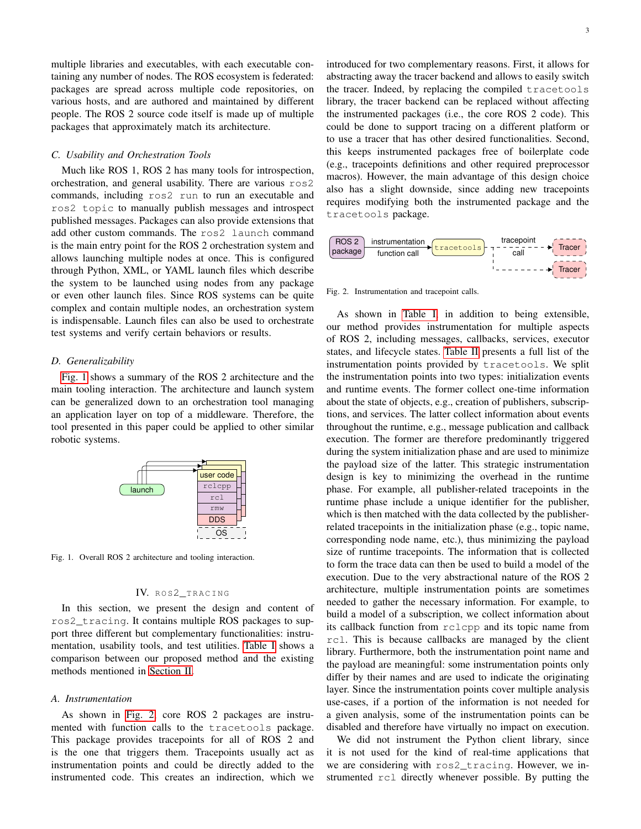multiple libraries and executables, with each executable containing any number of nodes. The ROS ecosystem is federated: packages are spread across multiple code repositories, on various hosts, and are authored and maintained by different people. The ROS 2 source code itself is made up of multiple packages that approximately match its architecture.

# *C. Usability and Orchestration Tools*

Much like ROS 1, ROS 2 has many tools for introspection, orchestration, and general usability. There are various ros2 commands, including ros2 run to run an executable and ros2 topic to manually publish messages and introspect published messages. Packages can also provide extensions that add other custom commands. The ros2 launch command is the main entry point for the ROS 2 orchestration system and allows launching multiple nodes at once. This is configured through Python, XML, or YAML launch files which describe the system to be launched using nodes from any package or even other launch files. Since ROS systems can be quite complex and contain multiple nodes, an orchestration system is indispensable. Launch files can also be used to orchestrate test systems and verify certain behaviors or results.

### *D. Generalizability*

[Fig. 1](#page-2-1) shows a summary of the ROS 2 architecture and the main tooling interaction. The architecture and launch system can be generalized down to an orchestration tool managing an application layer on top of a middleware. Therefore, the tool presented in this paper could be applied to other similar robotic systems.



<span id="page-2-1"></span>Fig. 1. Overall ROS 2 architecture and tooling interaction.

# IV. ROS2\_TRACING

<span id="page-2-0"></span>In this section, we present the design and content of ros2\_tracing. It contains multiple ROS packages to support three different but complementary functionalities: instrumentation, usability tools, and test utilities. [Table I](#page-3-0) shows a comparison between our proposed method and the existing methods mentioned in [Section II.](#page-1-0)

### *A. Instrumentation*

As shown in [Fig. 2,](#page-2-2) core ROS 2 packages are instrumented with function calls to the tracetools package. This package provides tracepoints for all of ROS 2 and is the one that triggers them. Tracepoints usually act as instrumentation points and could be directly added to the instrumented code. This creates an indirection, which we 3

introduced for two complementary reasons. First, it allows for abstracting away the tracer backend and allows to easily switch the tracer. Indeed, by replacing the compiled tracetools library, the tracer backend can be replaced without affecting the instrumented packages (i.e., the core ROS 2 code). This could be done to support tracing on a different platform or to use a tracer that has other desired functionalities. Second, this keeps instrumented packages free of boilerplate code (e.g., tracepoints definitions and other required preprocessor macros). However, the main advantage of this design choice also has a slight downside, since adding new tracepoints requires modifying both the instrumented package and the tracetools package.



<span id="page-2-2"></span>Fig. 2. Instrumentation and tracepoint calls.

As shown in [Table I,](#page-3-0) in addition to being extensible, our method provides instrumentation for multiple aspects of ROS 2, including messages, callbacks, services, executor states, and lifecycle states. [Table II](#page-3-1) presents a full list of the instrumentation points provided by tracetools. We split the instrumentation points into two types: initialization events and runtime events. The former collect one-time information about the state of objects, e.g., creation of publishers, subscriptions, and services. The latter collect information about events throughout the runtime, e.g., message publication and callback execution. The former are therefore predominantly triggered during the system initialization phase and are used to minimize the payload size of the latter. This strategic instrumentation design is key to minimizing the overhead in the runtime phase. For example, all publisher-related tracepoints in the runtime phase include a unique identifier for the publisher, which is then matched with the data collected by the publisherrelated tracepoints in the initialization phase (e.g., topic name, corresponding node name, etc.), thus minimizing the payload size of runtime tracepoints. The information that is collected to form the trace data can then be used to build a model of the execution. Due to the very abstractional nature of the ROS 2 architecture, multiple instrumentation points are sometimes needed to gather the necessary information. For example, to build a model of a subscription, we collect information about its callback function from rclcpp and its topic name from rcl. This is because callbacks are managed by the client library. Furthermore, both the instrumentation point name and the payload are meaningful: some instrumentation points only differ by their names and are used to indicate the originating layer. Since the instrumentation points cover multiple analysis use-cases, if a portion of the information is not needed for a given analysis, some of the instrumentation points can be disabled and therefore have virtually no impact on execution.

We did not instrument the Python client library, since it is not used for the kind of real-time applications that we are considering with ros2\_tracing. However, we instrumented rcl directly whenever possible. By putting the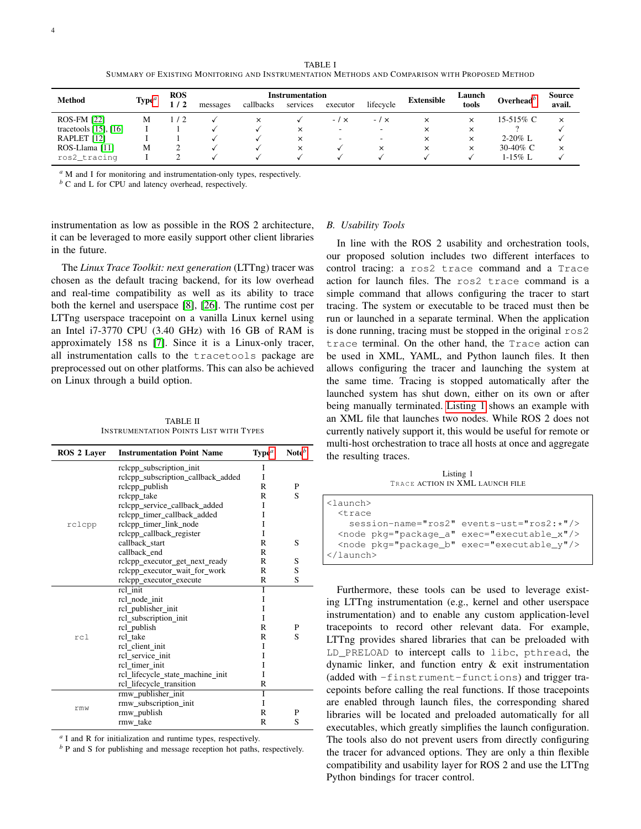TABLE I SUMMARY OF EXISTING MONITORING AND INSTRUMENTATION METHODS AND COMPARISON WITH PROPOSED METHOD

<span id="page-3-0"></span>

| Method                     | Type <sup>a</sup> | <b>ROS</b> | Instrumentation |           |          |                          |                          | Extensible | Launch   | Overhead <sup>b</sup> | Source   |
|----------------------------|-------------------|------------|-----------------|-----------|----------|--------------------------|--------------------------|------------|----------|-----------------------|----------|
|                            |                   | 1/2        | messages        | callbacks | services | executor                 | lifecycle                |            | tools    |                       | avail.   |
| <b>ROS-FM [22]</b>         | М                 | $\prime$   |                 | $\times$  |          | $-1 \times$              | $-1x$                    | ×          | $\times$ | 15-515% C             | $\times$ |
| tracetools $[15]$ , $[16]$ |                   |            |                 |           | $\times$ | $\overline{\phantom{0}}$ | $\overline{\phantom{a}}$ | $\times$   | $\times$ |                       |          |
| RAPLET [12]                |                   |            |                 |           | $\times$ | $\overline{\phantom{a}}$ | ۰                        | $\times$   | $\times$ | $2-20\%$ L            |          |
| ROS-Llama [11]             | М                 |            |                 |           | $\times$ |                          | $\times$                 | $\times$   | $\times$ | 30-40% C              | $\times$ |
| ros2_tracing               |                   |            |                 |           |          |                          |                          |            |          | $1-15\%$ L            |          |

<span id="page-3-2"></span>*<sup>a</sup>* M and I for monitoring and instrumentation-only types, respectively.

<span id="page-3-3"></span>*<sup>b</sup>* C and L for CPU and latency overhead, respectively.

instrumentation as low as possible in the ROS 2 architecture, it can be leveraged to more easily support other client libraries in the future.

The *Linux Trace Toolkit: next generation* (LTTng) tracer was chosen as the default tracing backend, for its low overhead and real-time compatibility as well as its ability to trace both the kernel and userspace [\[8\]](#page-7-7), [\[26\]](#page-7-26). The runtime cost per LTTng userspace tracepoint on a vanilla Linux kernel using an Intel i7-3770 CPU (3.40 GHz) with 16 GB of RAM is approximately 158 ns [\[7\]](#page-7-6). Since it is a Linux-only tracer, all instrumentation calls to the tracetools package are preprocessed out on other platforms. This can also be achieved on Linux through a build option.

TABLE II INSTRUMENTATION POINTS LIST WITH TYPES

<span id="page-3-1"></span>

| <b>ROS 2 Laver</b> | <b>Instrumentation Point Name</b>  | Type <sup>a</sup> | Note <sup>b</sup> |
|--------------------|------------------------------------|-------------------|-------------------|
|                    | rclcpp_subscription_init           | I                 |                   |
|                    | rclcpp_subscription_callback_added | I                 |                   |
|                    | rclcpp_publish                     | R                 | P                 |
|                    | rclcpp_take                        | R                 | S                 |
|                    | rclcpp_service_callback_added      | I                 |                   |
|                    | rclcpp_timer_callback_added        | I                 |                   |
| rclcpp             | relepp timer link node             | I                 |                   |
|                    | rclcpp_callback_register           | I                 |                   |
|                    | callback_start                     | R                 | S                 |
|                    | callback_end                       | R                 |                   |
|                    | rclcpp_executor_get_next_ready     | R                 | S                 |
|                    | relepp executor wait for work      | R                 | S                 |
|                    | rclcpp_executor_execute            | R                 | S                 |
|                    | $rcl$ _init                        | T                 |                   |
|                    | rcl node init                      | I                 |                   |
|                    | rcl_publisher_init                 | I                 |                   |
|                    | rcl_subscription_init              | I                 |                   |
|                    | rcl_publish                        | R                 | P                 |
| rc1                | rcl_take                           | R                 | S                 |
|                    | rcl client init                    | I                 |                   |
|                    | rcl service init                   | I                 |                   |
|                    | rcl timer init                     | I                 |                   |
|                    | rcl_lifecycle_state_machine_init   | I                 |                   |
|                    | rcl_lifecycle_transition           | R                 |                   |
|                    | rmw_publisher_init                 | T                 |                   |
|                    | rmw_subscription_init              | I                 |                   |
| rmw                | rmw_publish                        | R                 | P                 |
|                    | rmw_take                           | R                 | S                 |

<span id="page-3-4"></span>*a* I and R for initialization and runtime types, respectively.

<span id="page-3-5"></span>*b* P and S for publishing and message reception hot paths, respectively.

### *B. Usability Tools*

In line with the ROS 2 usability and orchestration tools, our proposed solution includes two different interfaces to control tracing: a ros2 trace command and a Trace action for launch files. The ros2 trace command is a simple command that allows configuring the tracer to start tracing. The system or executable to be traced must then be run or launched in a separate terminal. When the application is done running, tracing must be stopped in the original ros2 trace terminal. On the other hand, the Trace action can be used in XML, YAML, and Python launch files. It then allows configuring the tracer and launching the system at the same time. Tracing is stopped automatically after the launched system has shut down, either on its own or after being manually terminated. [Listing 1](#page-3-6) shows an example with an XML file that launches two nodes. While ROS 2 does not currently natively support it, this would be useful for remote or multi-host orchestration to trace all hosts at once and aggregate the resulting traces.

Listing 1 TRACE ACTION IN XML LAUNCH FILE

<span id="page-3-6"></span>

| <launch></launch>                |                                                   |
|----------------------------------|---------------------------------------------------|
| <trace< th=""><th></th></trace<> |                                                   |
|                                  | $s$ ession-name="ros2" events-ust="ros2: $*$ "/>  |
|                                  | <node exec="executable_x" pkq="packaqe_a"></node> |
|                                  | <node exec="executable_y" pkq="packaqe_b"></node> |
| $\langle$ /launch>               |                                                   |
|                                  |                                                   |

Furthermore, these tools can be used to leverage existing LTTng instrumentation (e.g., kernel and other userspace instrumentation) and to enable any custom application-level tracepoints to record other relevant data. For example, LTTng provides shared libraries that can be preloaded with LD\_PRELOAD to intercept calls to libc, pthread, the dynamic linker, and function entry & exit instrumentation (added with -finstrument-functions) and trigger tracepoints before calling the real functions. If those tracepoints are enabled through launch files, the corresponding shared libraries will be located and preloaded automatically for all executables, which greatly simplifies the launch configuration. The tools also do not prevent users from directly configuring the tracer for advanced options. They are only a thin flexible compatibility and usability layer for ROS 2 and use the LTTng Python bindings for tracer control.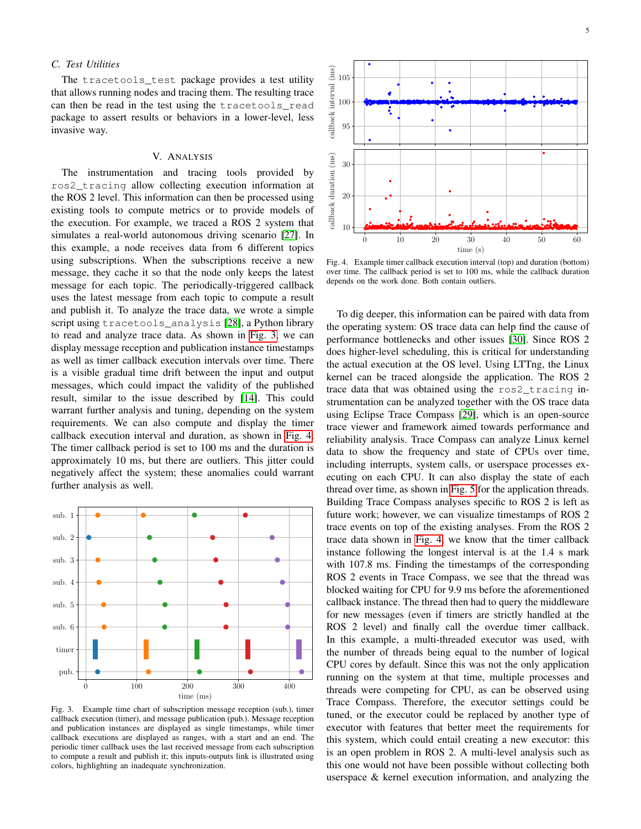### *C. Test Utilities*

The tracetools test package provides a test utility that allows running nodes and tracing them. The resulting trace can then be read in the test using the tracetools\_read package to assert results or behaviors in a lower-level, less invasive way.

# V. ANALYSIS

<span id="page-4-0"></span>The instrumentation and tracing tools provided by ros2\_tracing allow collecting execution information at the ROS 2 level. This information can then be processed using existing tools to compute metrics or to provide models of the execution. For example, we traced a ROS 2 system that simulates a real-world autonomous driving scenario [\[27\]](#page-7-27). In this example, a node receives data from 6 different topics using subscriptions. When the subscriptions receive a new message, they cache it so that the node only keeps the latest message for each topic. The periodically-triggered callback uses the latest message from each topic to compute a result and publish it. To analyze the trace data, we wrote a simple script using tracetools\_analysis [\[28\]](#page-7-28), a Python library to read and analyze trace data. As shown in [Fig. 3,](#page-4-1) we can display message reception and publication instance timestamps as well as timer callback execution intervals over time. There is a visible gradual time drift between the input and output messages, which could impact the validity of the published result, similar to the issue described by [\[14\]](#page-7-14). This could warrant further analysis and tuning, depending on the system requirements. We can also compute and display the timer callback execution interval and duration, as shown in [Fig. 4.](#page-4-2) The timer callback period is set to 100 ms and the duration is approximately 10 ms, but there are outliers. This jitter could negatively affect the system; these anomalies could warrant further analysis as well.



<span id="page-4-1"></span>Fig. 3. Example time chart of subscription message reception (sub.), timer callback execution (timer), and message publication (pub.). Message reception and publication instances are displayed as single timestamps, while timer callback executions are displayed as ranges, with a start and an end. The periodic timer callback uses the last received message from each subscription to compute a result and publish it; this inputs-outputs link is illustrated using colors, highlighting an inadequate synchronization.



<span id="page-4-2"></span>Fig. 4. Example timer callback execution interval (top) and duration (bottom) over time. The callback period is set to 100 ms, while the callback duration depends on the work done. Both contain outliers.

To dig deeper, this information can be paired with data from the operating system: OS trace data can help find the cause of performance bottlenecks and other issues [\[30\]](#page-7-29). Since ROS 2 does higher-level scheduling, this is critical for understanding the actual execution at the OS level. Using LTTng, the Linux kernel can be traced alongside the application. The ROS 2 trace data that was obtained using the ros2\_tracing instrumentation can be analyzed together with the OS trace data using Eclipse Trace Compass [\[29\]](#page-7-30), which is an open-source trace viewer and framework aimed towards performance and reliability analysis. Trace Compass can analyze Linux kernel data to show the frequency and state of CPUs over time, including interrupts, system calls, or userspace processes executing on each CPU. It can also display the state of each thread over time, as shown in [Fig. 5](#page-5-1) for the application threads. Building Trace Compass analyses specific to ROS 2 is left as future work; however, we can visualize timestamps of ROS 2 trace events on top of the existing analyses. From the ROS 2 trace data shown in [Fig. 4,](#page-4-2) we know that the timer callback instance following the longest interval is at the 1.4 s mark with 107.8 ms. Finding the timestamps of the corresponding ROS 2 events in Trace Compass, we see that the thread was blocked waiting for CPU for 9.9 ms before the aforementioned callback instance. The thread then had to query the middleware for new messages (even if timers are strictly handled at the ROS 2 level) and finally call the overdue timer callback. In this example, a multi-threaded executor was used, with the number of threads being equal to the number of logical CPU cores by default. Since this was not the only application running on the system at that time, multiple processes and threads were competing for CPU, as can be observed using Trace Compass. Therefore, the executor settings could be tuned, or the executor could be replaced by another type of executor with features that better meet the requirements for this system, which could entail creating a new executor: this is an open problem in ROS 2. A multi-level analysis such as this one would not have been possible without collecting both userspace & kernel execution information, and analyzing the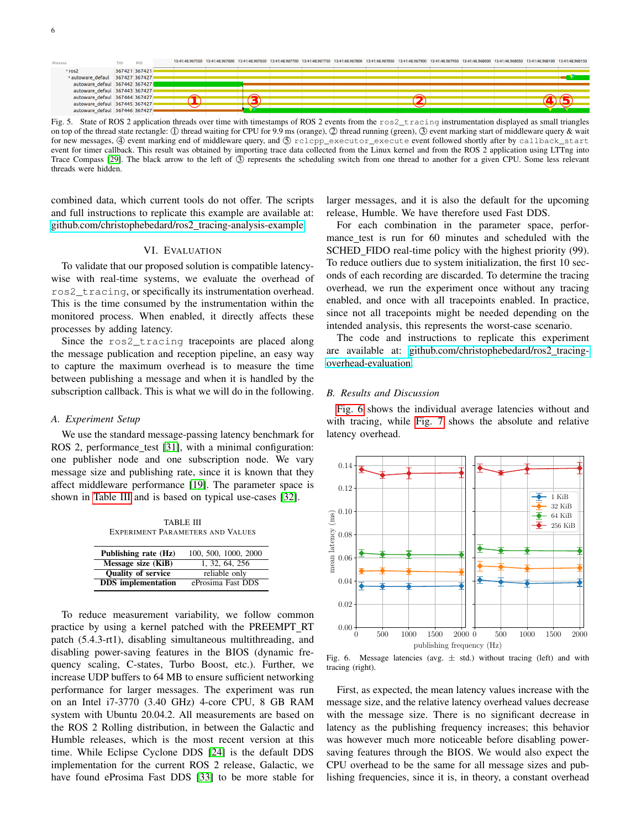

<span id="page-5-1"></span>Fig. 5. State of ROS 2 application threads over time with timestamps of ROS 2 events from the ros2\_tracing instrumentation displayed as small triangles on top of the thread state rectangle: ① thread waiting for CPU for 9.9 ms (orange), ② thread running (green), ③ event marking start of middleware query & wait for new messages, 4 event marking end of middleware query, and  $\circled{S}$  rclcpp\_executor\_execute event followed shortly after by callback\_start event for timer callback. This result was obtained by importing trace data collected from the Linux kernel and from the ROS 2 application using LTTng into Trace Compass [\[29\]](#page-7-30). The black arrow to the left of  $\circled{3}$  represents the scheduling switch from one thread to another for a given CPU. Some less relevant threads were hidden.

combined data, which current tools do not offer. The scripts and full instructions to replicate this example are available at: [github.com/christophebedard/ros2](https://github.com/christophebedard/ros2_tracing-analysis-example) tracing-analysis-example.

### VI. EVALUATION

<span id="page-5-0"></span>To validate that our proposed solution is compatible latencywise with real-time systems, we evaluate the overhead of ros2\_tracing, or specifically its instrumentation overhead. This is the time consumed by the instrumentation within the monitored process. When enabled, it directly affects these processes by adding latency.

Since the ros2 tracing tracepoints are placed along the message publication and reception pipeline, an easy way to capture the maximum overhead is to measure the time between publishing a message and when it is handled by the subscription callback. This is what we will do in the following.

### *A. Experiment Setup*

We use the standard message-passing latency benchmark for ROS 2, performance test [\[31\]](#page-7-31), with a minimal configuration: one publisher node and one subscription node. We vary message size and publishing rate, since it is known that they affect middleware performance [\[19\]](#page-7-19). The parameter space is shown in [Table III](#page-5-2) and is based on typical use-cases [\[32\]](#page-7-32).

TABLE III EXPERIMENT PARAMETERS AND VALUES

<span id="page-5-2"></span>

| Publishing rate (Hz)      | 100, 500, 1000, 2000 |
|---------------------------|----------------------|
| Message size (KiB)        | 1, 32, 64, 256       |
| <b>Quality of service</b> | reliable only        |
| <b>DDS</b> implementation | eProsima Fast DDS    |

To reduce measurement variability, we follow common practice by using a kernel patched with the PREEMPT RT patch (5.4.3-rt1), disabling simultaneous multithreading, and disabling power-saving features in the BIOS (dynamic frequency scaling, C-states, Turbo Boost, etc.). Further, we increase UDP buffers to 64 MB to ensure sufficient networking performance for larger messages. The experiment was run on an Intel i7-3770 (3.40 GHz) 4-core CPU, 8 GB RAM system with Ubuntu 20.04.2. All measurements are based on the ROS 2 Rolling distribution, in between the Galactic and Humble releases, which is the most recent version at this time. While Eclipse Cyclone DDS [\[24\]](#page-7-24) is the default DDS implementation for the current ROS 2 release, Galactic, we have found eProsima Fast DDS [\[33\]](#page-7-33) to be more stable for larger messages, and it is also the default for the upcoming release, Humble. We have therefore used Fast DDS.

For each combination in the parameter space, performance test is run for 60 minutes and scheduled with the SCHED\_FIDO real-time policy with the highest priority (99). To reduce outliers due to system initialization, the first 10 seconds of each recording are discarded. To determine the tracing overhead, we run the experiment once without any tracing enabled, and once with all tracepoints enabled. In practice, since not all tracepoints might be needed depending on the intended analysis, this represents the worst-case scenario.

The code and instructions to replicate this experiment are available at: [github.com/christophebedard/ros2](https://github.com/christophebedard/ros2_tracing-overhead-evaluation)\_tracing[overhead-evaluation.](https://github.com/christophebedard/ros2_tracing-overhead-evaluation)

### *B. Results and Discussion*

[Fig. 6](#page-5-3) shows the individual average latencies without and with tracing, while [Fig. 7](#page-6-1) shows the absolute and relative latency overhead.



<span id="page-5-3"></span>Fig. 6. Message latencies (avg.  $\pm$  std.) without tracing (left) and with tracing (right).

First, as expected, the mean latency values increase with the message size, and the relative latency overhead values decrease with the message size. There is no significant decrease in latency as the publishing frequency increases; this behavior was however much more noticeable before disabling powersaving features through the BIOS. We would also expect the CPU overhead to be the same for all message sizes and publishing frequencies, since it is, in theory, a constant overhead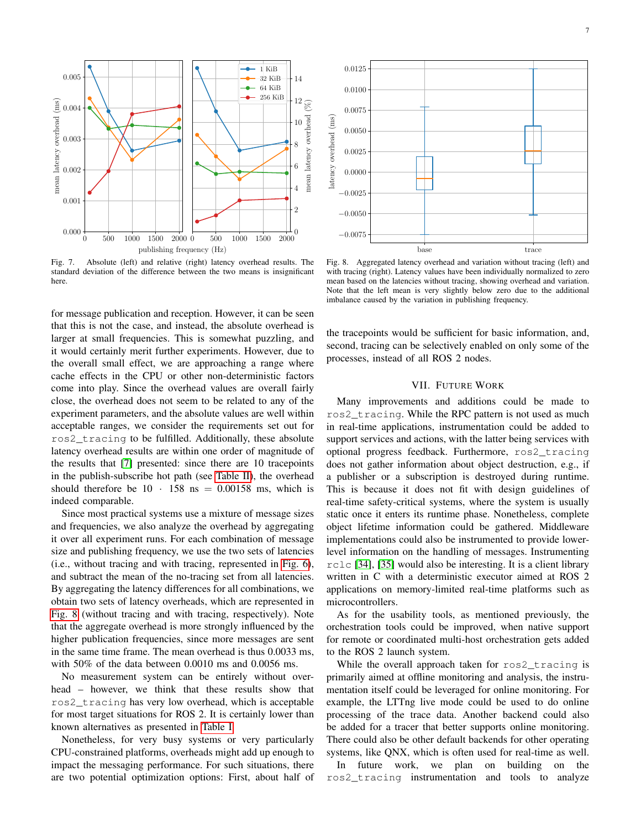

<span id="page-6-1"></span>Fig. 7. Absolute (left) and relative (right) latency overhead results. The standard deviation of the difference between the two means is insignificant here.

for message publication and reception. However, it can be seen that this is not the case, and instead, the absolute overhead is larger at small frequencies. This is somewhat puzzling, and it would certainly merit further experiments. However, due to the overall small effect, we are approaching a range where cache effects in the CPU or other non-deterministic factors come into play. Since the overhead values are overall fairly close, the overhead does not seem to be related to any of the experiment parameters, and the absolute values are well within acceptable ranges, we consider the requirements set out for ros2\_tracing to be fulfilled. Additionally, these absolute latency overhead results are within one order of magnitude of the results that [\[7\]](#page-7-6) presented: since there are 10 tracepoints in the publish-subscribe hot path (see [Table II\)](#page-3-1), the overhead should therefore be  $10 \cdot 158$  ns = 0.00158 ms, which is indeed comparable.

Since most practical systems use a mixture of message sizes and frequencies, we also analyze the overhead by aggregating it over all experiment runs. For each combination of message size and publishing frequency, we use the two sets of latencies (i.e., without tracing and with tracing, represented in [Fig. 6\)](#page-5-3), and subtract the mean of the no-tracing set from all latencies. By aggregating the latency differences for all combinations, we obtain two sets of latency overheads, which are represented in [Fig. 8](#page-6-2) (without tracing and with tracing, respectively). Note that the aggregate overhead is more strongly influenced by the higher publication frequencies, since more messages are sent in the same time frame. The mean overhead is thus 0.0033 ms, with 50% of the data between 0.0010 ms and 0.0056 ms.

No measurement system can be entirely without overhead – however, we think that these results show that ros2\_tracing has very low overhead, which is acceptable for most target situations for ROS 2. It is certainly lower than known alternatives as presented in [Table I.](#page-3-0)

Nonetheless, for very busy systems or very particularly CPU-constrained platforms, overheads might add up enough to impact the messaging performance. For such situations, there are two potential optimization options: First, about half of



<span id="page-6-2"></span>Fig. 8. Aggregated latency overhead and variation without tracing (left) and with tracing (right). Latency values have been individually normalized to zero mean based on the latencies without tracing, showing overhead and variation. Note that the left mean is very slightly below zero due to the additional imbalance caused by the variation in publishing frequency.

the tracepoints would be sufficient for basic information, and, second, tracing can be selectively enabled on only some of the processes, instead of all ROS 2 nodes.

# VII. FUTURE WORK

<span id="page-6-0"></span>Many improvements and additions could be made to ros2\_tracing. While the RPC pattern is not used as much in real-time applications, instrumentation could be added to support services and actions, with the latter being services with optional progress feedback. Furthermore, ros2\_tracing does not gather information about object destruction, e.g., if a publisher or a subscription is destroyed during runtime. This is because it does not fit with design guidelines of real-time safety-critical systems, where the system is usually static once it enters its runtime phase. Nonetheless, complete object lifetime information could be gathered. Middleware implementations could also be instrumented to provide lowerlevel information on the handling of messages. Instrumenting rclc [\[34\]](#page-7-34), [\[35\]](#page-7-35) would also be interesting. It is a client library written in C with a deterministic executor aimed at ROS 2 applications on memory-limited real-time platforms such as microcontrollers.

As for the usability tools, as mentioned previously, the orchestration tools could be improved, when native support for remote or coordinated multi-host orchestration gets added to the ROS 2 launch system.

While the overall approach taken for ros2\_tracing is primarily aimed at offline monitoring and analysis, the instrumentation itself could be leveraged for online monitoring. For example, the LTTng live mode could be used to do online processing of the trace data. Another backend could also be added for a tracer that better supports online monitoring. There could also be other default backends for other operating systems, like QNX, which is often used for real-time as well.

In future work, we plan on building on the ros2\_tracing instrumentation and tools to analyze